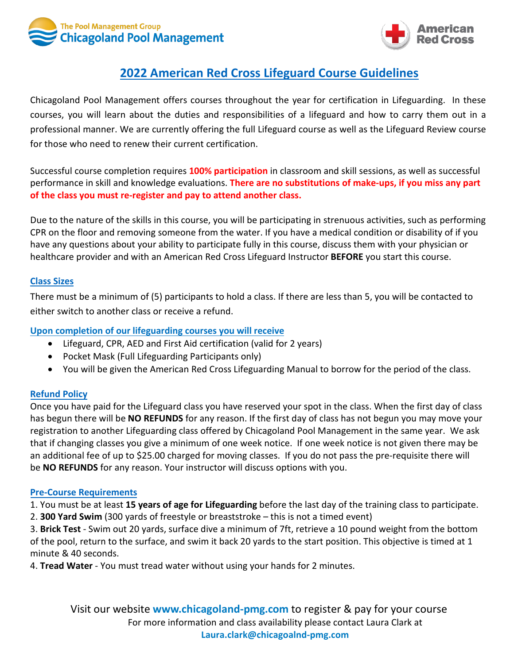



# **2022 American Red Cross Lifeguard Course Guidelines**

Chicagoland Pool Management offers courses throughout the year for certification in Lifeguarding. In these courses, you will learn about the duties and responsibilities of a lifeguard and how to carry them out in a professional manner. We are currently offering the full Lifeguard course as well as the Lifeguard Review course for those who need to renew their current certification.

Successful course completion requires **100% participation** in classroom and skill sessions, as well as successful performance in skill and knowledge evaluations. **There are no substitutions of make-ups, if you miss any part of the class you must re-register and pay to attend another class.** 

Due to the nature of the skills in this course, you will be participating in strenuous activities, such as performing CPR on the floor and removing someone from the water. If you have a medical condition or disability of if you have any questions about your ability to participate fully in this course, discuss them with your physician or healthcare provider and with an American Red Cross Lifeguard Instructor **BEFORE** you start this course.

#### **Class Sizes**

There must be a minimum of (5) participants to hold a class. If there are less than 5, you will be contacted to either switch to another class or receive a refund.

#### **Upon completion of our lifeguarding courses you will receive**

- Lifeguard, CPR, AED and First Aid certification (valid for 2 years)
- Pocket Mask (Full Lifeguarding Participants only)
- You will be given the American Red Cross Lifeguarding Manual to borrow for the period of the class.

#### **Refund Policy**

Once you have paid for the Lifeguard class you have reserved your spot in the class. When the first day of class has begun there will be **NO REFUNDS** for any reason. If the first day of class has not begun you may move your registration to another Lifeguarding class offered by Chicagoland Pool Management in the same year. We ask that if changing classes you give a minimum of one week notice. If one week notice is not given there may be an additional fee of up to \$25.00 charged for moving classes. If you do not pass the pre-requisite there will be **NO REFUNDS** for any reason. Your instructor will discuss options with you.

#### **Pre-Course Requirements**

1. You must be at least **15 years of age for Lifeguarding** before the last day of the training class to participate.

2. **300 Yard Swim** (300 yards of freestyle or breaststroke – this is not a timed event)

3. **Brick Test** - Swim out 20 yards, surface dive a minimum of 7ft, retrieve a 10 pound weight from the bottom of the pool, return to the surface, and swim it back 20 yards to the start position. This objective is timed at 1 minute & 40 seconds.

4. **Tread Water** - You must tread water without using your hands for 2 minutes.

Visit our website **www.chicagoland-pmg.com** to register & pay for your course For more information and class availability please contact Laura Clark at **Laura.clark@chicagoalnd-pmg.com**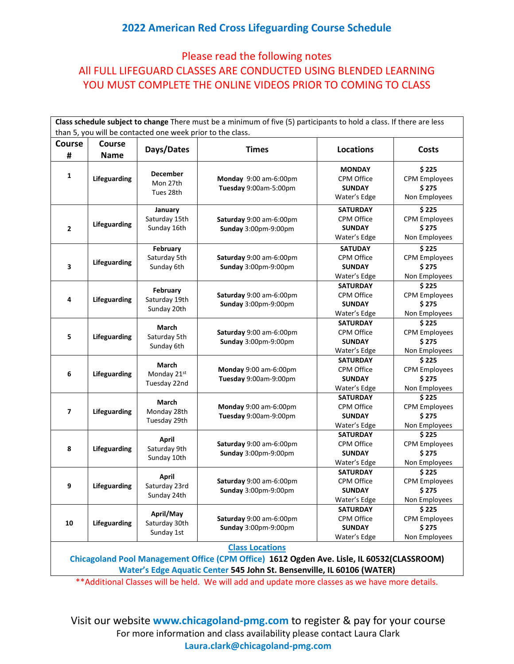## **2022 American Red Cross Lifeguarding Course Schedule**

## Please read the following notes All FULL LIFEGUARD CLASSES ARE CONDUCTED USING BLENDED LEARNING YOU MUST COMPLETE THE ONLINE VIDEOS PRIOR TO COMING TO CLASS

| Class schedule subject to change There must be a minimum of five (5) participants to hold a class. If there are less |              |                                              |                                                 |                                                                       |                                                          |  |  |  |  |  |
|----------------------------------------------------------------------------------------------------------------------|--------------|----------------------------------------------|-------------------------------------------------|-----------------------------------------------------------------------|----------------------------------------------------------|--|--|--|--|--|
| than 5, you will be contacted one week prior to the class.                                                           |              |                                              |                                                 |                                                                       |                                                          |  |  |  |  |  |
| <b>Course</b>                                                                                                        | Course       | Days/Dates                                   | <b>Times</b>                                    | <b>Locations</b>                                                      | <b>Costs</b>                                             |  |  |  |  |  |
| #                                                                                                                    | <b>Name</b>  |                                              |                                                 |                                                                       |                                                          |  |  |  |  |  |
| $\mathbf{1}$                                                                                                         | Lifeguarding | <b>December</b><br>Mon 27th<br>Tues 28th     | Monday 9:00 am-6:00pm<br>Tuesday 9:00am-5:00pm  | <b>MONDAY</b><br><b>CPM Office</b><br><b>SUNDAY</b><br>Water's Edge   | \$225<br><b>CPM Employees</b><br>\$275<br>Non Employees  |  |  |  |  |  |
| $\overline{\mathbf{2}}$                                                                                              | Lifeguarding | January<br>Saturday 15th<br>Sunday 16th      | Saturday 9:00 am-6:00pm<br>Sunday 3:00pm-9:00pm | <b>SATURDAY</b><br><b>CPM Office</b><br><b>SUNDAY</b><br>Water's Edge | \$225<br><b>CPM Employees</b><br>\$275<br>Non Employees  |  |  |  |  |  |
| 3                                                                                                                    | Lifeguarding | February<br>Saturday 5th<br>Sunday 6th       | Saturday 9:00 am-6:00pm<br>Sunday 3:00pm-9:00pm | <b>SATUDAY</b><br>CPM Office<br><b>SUNDAY</b><br>Water's Edge         | \$225<br><b>CPM Employees</b><br>\$275<br>Non Employees  |  |  |  |  |  |
| 4                                                                                                                    | Lifeguarding | February<br>Saturday 19th<br>Sunday 20th     | Saturday 9:00 am-6:00pm<br>Sunday 3:00pm-9:00pm | <b>SATURDAY</b><br><b>CPM Office</b><br><b>SUNDAY</b><br>Water's Edge | \$225<br><b>CPM Employees</b><br>\$275<br>Non Employees  |  |  |  |  |  |
| 5                                                                                                                    | Lifeguarding | March<br>Saturday 5th<br>Sunday 6th          | Saturday 9:00 am-6:00pm<br>Sunday 3:00pm-9:00pm | <b>SATURDAY</b><br>CPM Office<br><b>SUNDAY</b><br>Water's Edge        | \$225<br><b>CPM Employees</b><br>\$275<br>Non Employees  |  |  |  |  |  |
| 6                                                                                                                    | Lifeguarding | March<br>Monday 21st<br>Tuesday 22nd         | Monday 9:00 am-6:00pm<br>Tuesday 9:00am-9:00pm  | <b>SATURDAY</b><br>CPM Office<br><b>SUNDAY</b><br>Water's Edge        | \$225<br><b>CPM Employees</b><br>\$275<br>Non Employees  |  |  |  |  |  |
| $\overline{\mathbf{z}}$                                                                                              | Lifeguarding | March<br>Monday 28th<br>Tuesday 29th         | Monday 9:00 am-6:00pm<br>Tuesday 9:00am-9:00pm  | <b>SATURDAY</b><br>CPM Office<br><b>SUNDAY</b><br>Water's Edge        | \$225<br><b>CPM Employees</b><br>\$275<br>Non Employees  |  |  |  |  |  |
| 8                                                                                                                    | Lifeguarding | <b>April</b><br>Saturday 9th<br>Sunday 10th  | Saturday 9:00 am-6:00pm<br>Sunday 3:00pm-9:00pm | <b>SATURDAY</b><br>CPM Office<br><b>SUNDAY</b><br>Water's Edge        | \$225<br><b>CPM Employees</b><br>\$275<br>Non Employees  |  |  |  |  |  |
| 9                                                                                                                    | Lifeguarding | <b>April</b><br>Saturday 23rd<br>Sunday 24th | Saturday 9:00 am-6:00pm<br>Sunday 3:00pm-9:00pm | <b>SATURDAY</b><br>CPM Office<br><b>SUNDAY</b><br>Water's Edge        | \$225<br><b>CPM Employees</b><br>\$ 275<br>Non Employees |  |  |  |  |  |
| 10                                                                                                                   | Lifeguarding | April/May<br>Saturday 30th<br>Sunday 1st     | Saturday 9:00 am-6:00pm<br>Sunday 3:00pm-9:00pm | <b>SATURDAY</b><br>CPM Office<br><b>SUNDAY</b><br>Water's Edge        | \$225<br><b>CPM Employees</b><br>\$275<br>Non Employees  |  |  |  |  |  |
| <b>Class Locations</b><br>Chicagoland Pool Management Office (CPM Office) 1612 Ogden Ave. Lisle, IL 60532(CLASSROOM) |              |                                              |                                                 |                                                                       |                                                          |  |  |  |  |  |

**Water's Edge Aquatic Center 545 John St. Bensenville, IL 60106 (WATER)**

\*\*Additional Classes will be held. We will add and update more classes as we have more details.

Visit our website **www.chicagoland-pmg.com** to register & pay for your course For more information and class availability please contact Laura Clark **Laura.clark@chicagoland-pmg.com**